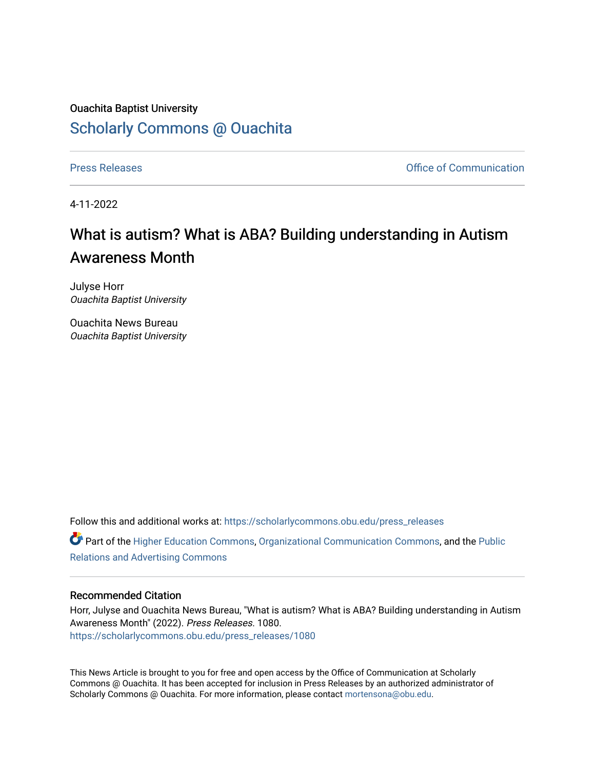## Ouachita Baptist University [Scholarly Commons @ Ouachita](https://scholarlycommons.obu.edu/)

[Press Releases](https://scholarlycommons.obu.edu/press_releases) **Press Releases Communication** 

4-11-2022

# What is autism? What is ABA? Building understanding in Autism Awareness Month

Julyse Horr Ouachita Baptist University

Ouachita News Bureau Ouachita Baptist University

Follow this and additional works at: [https://scholarlycommons.obu.edu/press\\_releases](https://scholarlycommons.obu.edu/press_releases?utm_source=scholarlycommons.obu.edu%2Fpress_releases%2F1080&utm_medium=PDF&utm_campaign=PDFCoverPages)

Part of the [Higher Education Commons,](http://network.bepress.com/hgg/discipline/1245?utm_source=scholarlycommons.obu.edu%2Fpress_releases%2F1080&utm_medium=PDF&utm_campaign=PDFCoverPages) [Organizational Communication Commons,](http://network.bepress.com/hgg/discipline/335?utm_source=scholarlycommons.obu.edu%2Fpress_releases%2F1080&utm_medium=PDF&utm_campaign=PDFCoverPages) and the [Public](http://network.bepress.com/hgg/discipline/336?utm_source=scholarlycommons.obu.edu%2Fpress_releases%2F1080&utm_medium=PDF&utm_campaign=PDFCoverPages) [Relations and Advertising Commons](http://network.bepress.com/hgg/discipline/336?utm_source=scholarlycommons.obu.edu%2Fpress_releases%2F1080&utm_medium=PDF&utm_campaign=PDFCoverPages) 

## Recommended Citation

Horr, Julyse and Ouachita News Bureau, "What is autism? What is ABA? Building understanding in Autism Awareness Month" (2022). Press Releases. 1080. [https://scholarlycommons.obu.edu/press\\_releases/1080](https://scholarlycommons.obu.edu/press_releases/1080?utm_source=scholarlycommons.obu.edu%2Fpress_releases%2F1080&utm_medium=PDF&utm_campaign=PDFCoverPages) 

This News Article is brought to you for free and open access by the Office of Communication at Scholarly Commons @ Ouachita. It has been accepted for inclusion in Press Releases by an authorized administrator of Scholarly Commons @ Ouachita. For more information, please contact [mortensona@obu.edu](mailto:mortensona@obu.edu).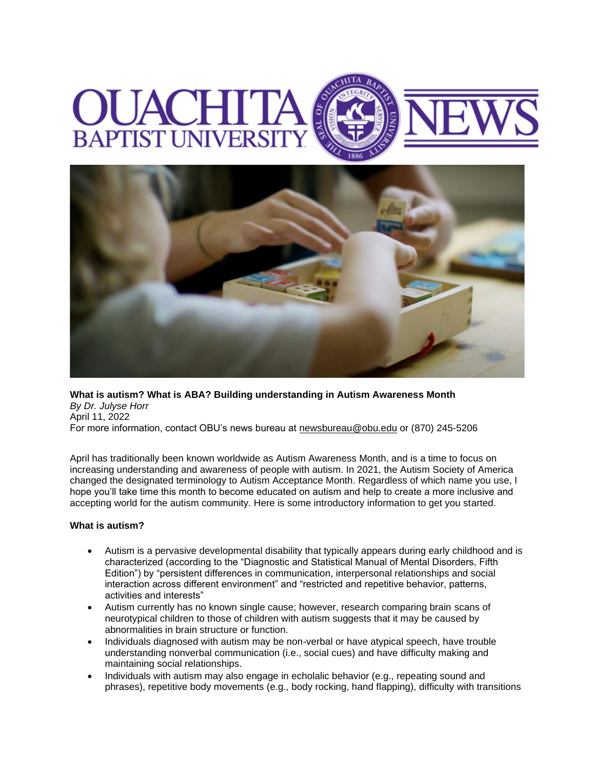# **BAPTIST UNIVERS**



**What is autism? What is ABA? Building understanding in Autism Awareness Month** *By Dr. Julyse Horr* April 11, 2022 For more information, contact OBU's news bureau at [newsbureau@obu.edu](mailto:newsbureau@obu.edu) or (870) 245-5206

April has traditionally been known worldwide as Autism Awareness Month, and is a time to focus on increasing understanding and awareness of people with autism. In 2021, the Autism Society of America changed the designated terminology to Autism Acceptance Month. Regardless of which name you use, I hope you'll take time this month to become educated on autism and help to create a more inclusive and accepting world for the autism community. Here is some introductory information to get you started.

### **What is autism?**

- Autism is a pervasive developmental disability that typically appears during early childhood and is characterized (according to the "Diagnostic and Statistical Manual of Mental Disorders, Fifth Edition") by "persistent differences in communication, interpersonal relationships and social interaction across different environment" and "restricted and repetitive behavior, patterns, activities and interests"
- Autism currently has no known single cause; however, research comparing brain scans of neurotypical children to those of children with autism suggests that it may be caused by abnormalities in brain structure or function.
- Individuals diagnosed with autism may be non-verbal or have atypical speech, have trouble understanding nonverbal communication (i.e., social cues) and have difficulty making and maintaining social relationships.
- Individuals with autism may also engage in echolalic behavior (e.g., repeating sound and phrases), repetitive body movements (e.g., body rocking, hand flapping), difficulty with transitions